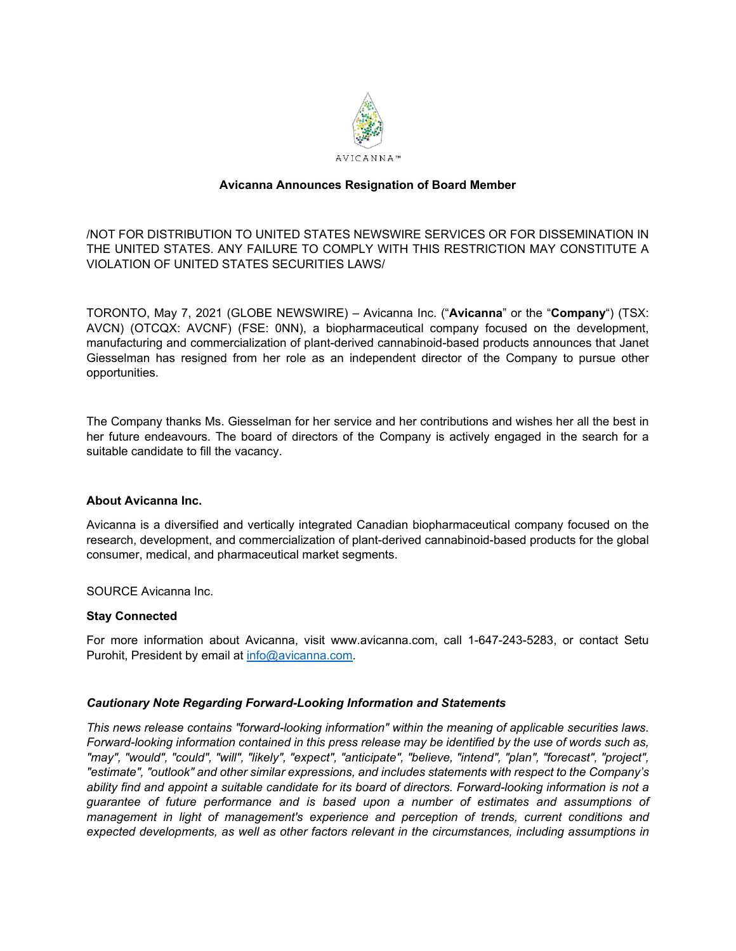

## **Avicanna Announces Resignation of Board Member**

/NOT FOR DISTRIBUTION TO UNITED STATES NEWSWIRE SERVICES OR FOR DISSEMINATION IN THE UNITED STATES. ANY FAILURE TO COMPLY WITH THIS RESTRICTION MAY CONSTITUTE A VIOLATION OF UNITED STATES SECURITIES LAWS/

TORONTO, May 7, 2021 (GLOBE NEWSWIRE) – Avicanna Inc. ("**Avicanna**" or the "**Company**") (TSX: AVCN) (OTCQX: AVCNF) (FSE: 0NN), a biopharmaceutical company focused on the development, manufacturing and commercialization of plant-derived cannabinoid-based products announces that Janet Giesselman has resigned from her role as an independent director of the Company to pursue other opportunities.

The Company thanks Ms. Giesselman for her service and her contributions and wishes her all the best in her future endeavours. The board of directors of the Company is actively engaged in the search for a suitable candidate to fill the vacancy.

## **About Avicanna Inc.**

Avicanna is a diversified and vertically integrated Canadian biopharmaceutical company focused on the research, development, and commercialization of plant-derived cannabinoid-based products for the global consumer, medical, and pharmaceutical market segments.

SOURCE Avicanna Inc.

## **Stay Connected**

For more information about Avicanna, visit www.avicanna.com, call 1-647-243-5283, or contact Setu Purohit, President by email at [info@avicanna.com.](mailto:info@avicanna.com)

## *Cautionary Note Regarding Forward-Looking Information and Statements*

*This news release contains "forward-looking information" within the meaning of applicable securities laws. Forward-looking information contained in this press release may be identified by the use of words such as, "may", "would", "could", "will", "likely", "expect", "anticipate", "believe, "intend", "plan", "forecast", "project", "estimate", "outlook" and other similar expressions, and includes statements with respect to the Company's ability find and appoint a suitable candidate for its board of directors. Forward-looking information is not a guarantee of future performance and is based upon a number of estimates and assumptions of management in light of management's experience and perception of trends, current conditions and expected developments, as well as other factors relevant in the circumstances, including assumptions in*